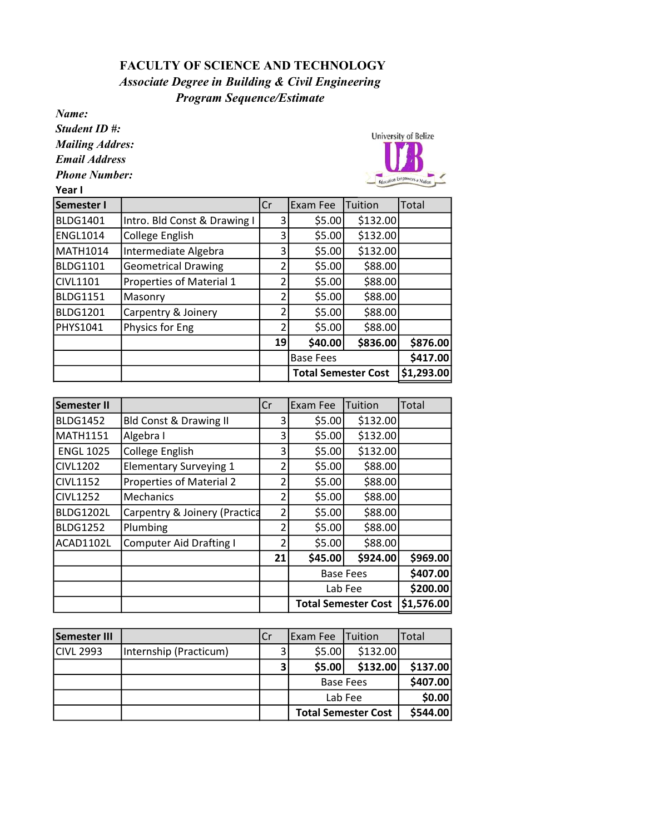## FACULTY OF SCIENCE AND TECHNOLOGY Program Sequence/Estimate Associate Degree in Building & Civil Engineering

Name:

Student ID #:

Mailing Addres:

Email Address

Phone Number:

Year I



| Semester I      |                              | Cr | Exam Fee                   | Tuition  | Total      |
|-----------------|------------------------------|----|----------------------------|----------|------------|
| <b>BLDG1401</b> | Intro. Bld Const & Drawing I | 3  | \$5.00                     | \$132.00 |            |
| <b>ENGL1014</b> | College English              | 3  | \$5.00                     | \$132.00 |            |
| MATH1014        | Intermediate Algebra         | 3  | \$5.00                     | \$132.00 |            |
| <b>BLDG1101</b> | <b>Geometrical Drawing</b>   | 2  | \$5.00                     | \$88.00  |            |
| <b>CIVL1101</b> | Properties of Material 1     | 2  | \$5.00                     | \$88.00  |            |
| <b>BLDG1151</b> | Masonry                      | 2  | \$5.00                     | \$88.00  |            |
| <b>BLDG1201</b> | Carpentry & Joinery          | 2  | \$5.00                     | \$88.00  |            |
| PHYS1041        | Physics for Eng              | 2  | \$5.00                     | \$88.00  |            |
|                 |                              | 19 | \$40.00                    | \$836.00 | \$876.00   |
|                 |                              |    | <b>Base Fees</b>           |          | \$417.00   |
|                 |                              |    | <b>Total Semester Cost</b> |          | \$1,293.00 |

| <b>Semester II</b> |                                   | Cr | Exam Fee                   | Tuition  | Total      |
|--------------------|-----------------------------------|----|----------------------------|----------|------------|
| <b>BLDG1452</b>    | <b>Bld Const &amp; Drawing II</b> | 3  | \$5.00                     | \$132.00 |            |
| <b>MATH1151</b>    | Algebra I                         | 3  | \$5.00                     | \$132.00 |            |
| <b>ENGL 1025</b>   | College English                   | 3  | \$5.00                     | \$132.00 |            |
| <b>CIVL1202</b>    | <b>Elementary Surveying 1</b>     | 2  | \$5.00                     | \$88.00  |            |
| <b>CIVL1152</b>    | Properties of Material 2          | 2  | \$5.00                     | \$88.00  |            |
| <b>CIVL1252</b>    | Mechanics                         | 2  | \$5.00                     | \$88.00  |            |
| <b>BLDG1202L</b>   | Carpentry & Joinery (Practica     | 2  | \$5.00                     | \$88.00  |            |
| <b>BLDG1252</b>    | Plumbing                          | 2  | \$5.00                     | \$88.00  |            |
| ACAD1102L          | <b>Computer Aid Drafting I</b>    | 2  | \$5.00                     | \$88.00  |            |
|                    |                                   | 21 | \$45.00                    | \$924.00 | \$969.00   |
|                    |                                   |    | <b>Base Fees</b>           |          | \$407.00   |
|                    |                                   |    | Lab Fee                    |          | \$200.00   |
|                    |                                   |    | <b>Total Semester Cost</b> |          | \$1,576.00 |

| <b>Semester III</b> |                        | Cr | Exam Fee                   | <b>Tuition</b> | Total    |
|---------------------|------------------------|----|----------------------------|----------------|----------|
| <b>CIVL 2993</b>    | Internship (Practicum) |    | \$5.00                     | \$132.00       |          |
|                     |                        |    | \$5.00                     | \$132.00       | \$137.00 |
|                     |                        |    | <b>Base Fees</b>           |                | \$407.00 |
|                     |                        |    | Lab Fee                    |                | \$0.00   |
|                     |                        |    | <b>Total Semester Cost</b> |                | \$544.00 |